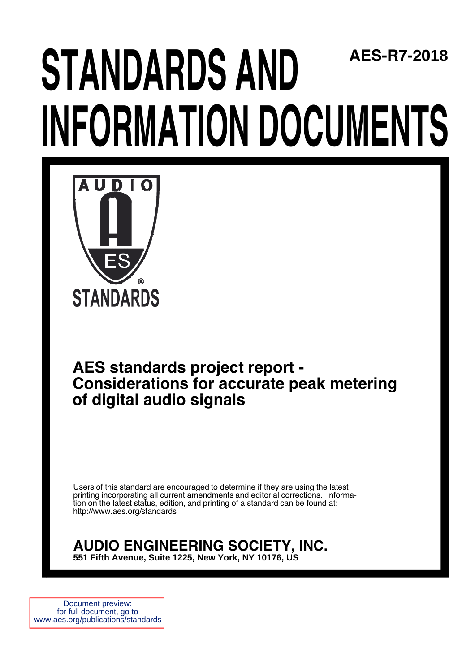## **STANDARDS AND INFORMATION DOCUMENTS AES-R7-2018**



# **rds project report -<br>
ons for accurate peak metering<br>
<b>dio signals**<br>
<br> **werecauraged to determine if they are using the latest<br>
procuraged to determine if they are using the latest<br>
werent amendments and editorial correct AES standards project report - Considerations for accurate peak metering of digital audio signals**

Users of this standard are encouraged to determine if they are using the latest printing incorporating all current amendments and editorial corrections. Information on the latest status, edition, and printing of a standard can be found at: http://www.aes.org/standards

### **AUDIO ENGINEERING SOCIETY, INC.**

**551 Fifth Avenue, Suite 1225, New York, NY 10176, US,**

Document preview: for full document, go to www.aes.org/publications/standards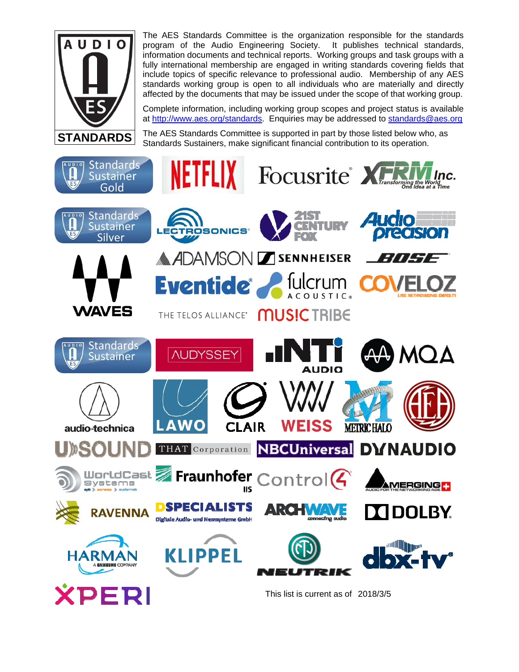

The AES Standards Committee is the organization responsible for the standards program of the Audio Engineering Society. It publishes technical standards, information documents and technical reports. Working groups and task groups with a fully international membership are engaged in writing standards covering fields that include topics of specific relevance to professional audio. Membership of any AES standards working group is open to all individuals who are materially and directly affected by the documents that may be issued under the scope of that working group.

Complete information, including working group scopes and project status is available at http://www.aes.org/standards. Enquiries may be addressed to standards@aes.org

The AES Standards Committee is supported in part by those listed below who, as Standards Sustainers, make significant financial contribution to its operation.

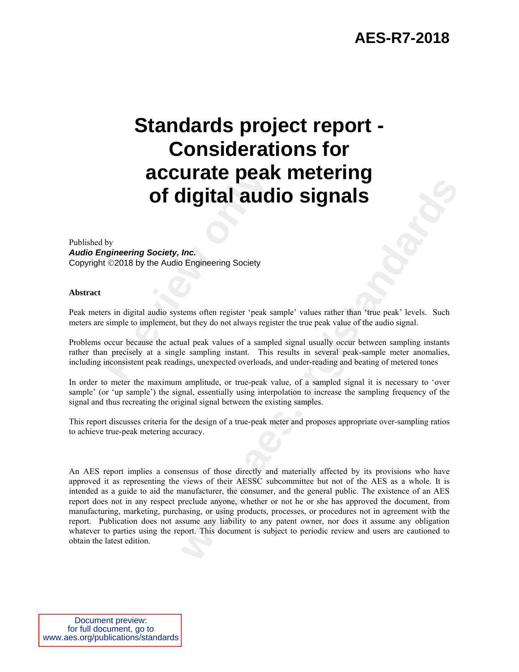# **Previously by**<br> **Preview Society, Inc.**<br> **Previews Society, Inc.**<br> **Previews Society, Inc.**<br> **Previews Society, Inc.**<br> **Previews Society.**<br> **Previews Society**<br> **Previews** Society<br> **Previews** Society<br> **Previews** Society<br> **Standards project report - Considerations for accurate peak metering of digital audio signals**

#### Published by *Audio Engineering Society, Inc.*  Copyright ©2018 by the Audio Engineering Society

#### **Abstract**

Peak meters in digital audio systems often register 'peak sample' values rather than 'true peak' levels. Such meters are simple to implement, but they do not always register the true peak value of the audio signal.

Problems occur because the actual peak values of a sampled signal usually occur between sampling instants rather than precisely at a single sampling instant. This results in several peak-sample meter anomalies, including inconsistent peak readings, unexpected overloads, and under-reading and beating of metered tones

In order to meter the maximum amplitude, or true-peak value, of a sampled signal it is necessary to 'over sample' (or 'up sample') the signal, essentially using interpolation to increase the sampling frequency of the signal and thus recreating the original signal between the existing samples.

This report discusses criteria for the design of a true-peak meter and proposes appropriate over-sampling ratios to achieve true-peak metering accuracy.

**Example 11 and CO Example 11 and CO Signals**<br> **Example 21 and CO Signals**<br> **Example 21 and CO Signals**<br> **Example 21 and 21 and 22 and 22 and 22 and 22 and 22 and 22 and 22 and 22 and 22 and 22 and 22 and 22 and 23** An AES report implies a consensus of those directly and materially affected by its provisions who have approved it as representing the views of their AESSC subcommittee but not of the AES as a whole. It is intended as a guide to aid the manufacturer, the consumer, and the general public. The existence of an AES report does not in any respect preclude anyone, whether or not he or she has approved the document, from manufacturing, marketing, purchasing, or using products, processes, or procedures not in agreement with the report. Publication does not assume any liability to any patent owner, nor does it assume any obligation whatever to parties using the report. This document is subject to periodic review and users are cautioned to obtain the latest edition.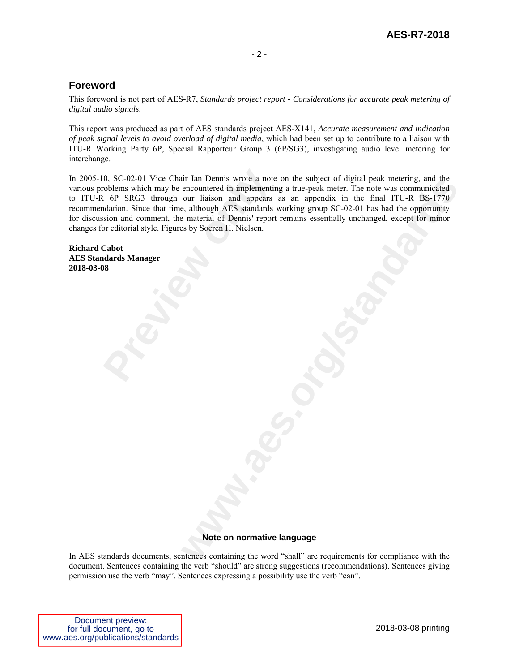#### **Foreword**

This foreword is not part of AES-R7, *Standards project report - Considerations for accurate peak metering of digital audio signals*.

This report was produced as part of AES standards project AES-X141, *Accurate measurement and indication of peak signal levels to avoid overload of digital media*, which had been set up to contribute to a liaison with ITU-R Working Party 6P, Special Rapporteur Group 3 (6P/SG3), investigating audio level metering for interchange.

0, SC-02-01 Vice Chair Ian Dennis wrote a note<br>coblems which may be encountered in implementir<br>Left CP SRG3 through our liaison and appears<br>dation. Since that time, although AES standards<br>sision and comment, the material o It all Dennis works a note on the subject of digital peak meterng, and the<br>
our liaison and appears as an appendix in the final ITU-R BS-1770<br>
our liaison and appears are appears and property in the final ITU-R BS-1770<br>
en In 2005-10, SC-02-01 Vice Chair Ian Dennis wrote a note on the subject of digital peak metering, and the various problems which may be encountered in implementing a true-peak meter. The note was communicated to ITU-R 6P SRG3 through our liaison and appears as an appendix in the final ITU-R BS-1770 recommendation. Since that time, although AES standards working group SC-02-01 has had the opportunity for discussion and comment, the material of Dennis' report remains essentially unchanged, except for minor changes for editorial style. Figures by Soeren H. Nielsen.

**Richard Cabot AES Standards Manager 2018-03-08** 

#### **Note on normative language**

In AES standards documents, sentences containing the word "shall" are requirements for compliance with the document. Sentences containing the verb "should" are strong suggestions (recommendations). Sentences giving permission use the verb "may". Sentences expressing a possibility use the verb "can".

| Document preview:                  |
|------------------------------------|
| for full document, go to           |
| www.aes.org/publications/standards |